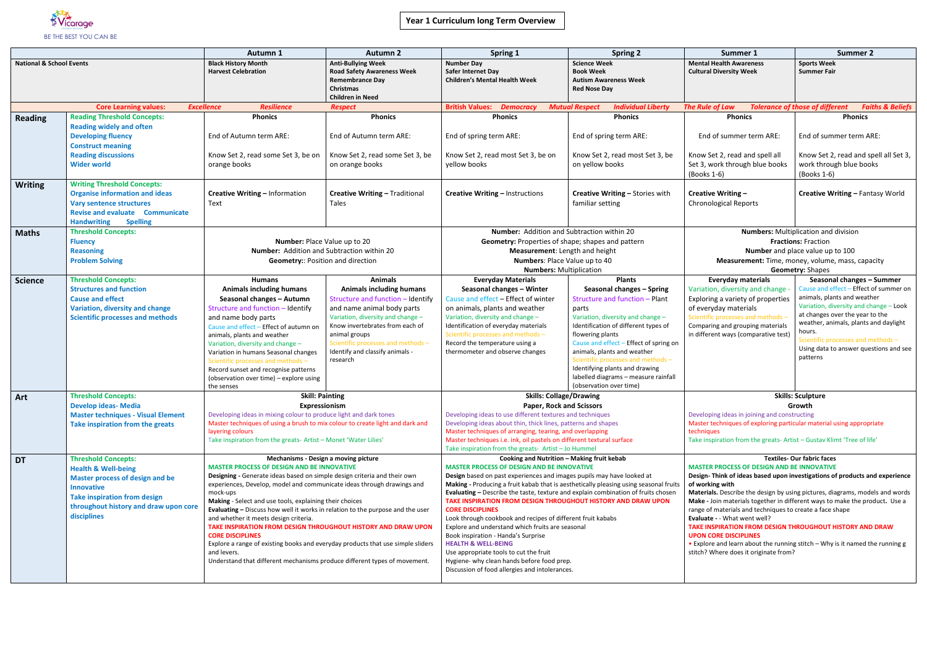

|                                     |                                                                                                                                                                                                                            | Autumn 1                                                                                                                                                                                                                                                                                                                                                                                                                                                                                                                                                                                                                                                                                                                            | <b>Autumn 2</b>                                                                                                                                                                                                                                                                                    | Spring 1                                                                                                                                                                                                                                                                                                                                                                                                                                                                                                                                                                                                                                                                                                                                                                                 | <b>Spring 2</b>                                                                                                                                                                                                                                                                                                                                                                                            | Summer 1                                                                                                                                                                                                                                                                                                                                                                                                                                                                                                                                                                                                                                                                | <b>Summer 2</b>                                                                                                                                                                                                                                                                                                                |
|-------------------------------------|----------------------------------------------------------------------------------------------------------------------------------------------------------------------------------------------------------------------------|-------------------------------------------------------------------------------------------------------------------------------------------------------------------------------------------------------------------------------------------------------------------------------------------------------------------------------------------------------------------------------------------------------------------------------------------------------------------------------------------------------------------------------------------------------------------------------------------------------------------------------------------------------------------------------------------------------------------------------------|----------------------------------------------------------------------------------------------------------------------------------------------------------------------------------------------------------------------------------------------------------------------------------------------------|------------------------------------------------------------------------------------------------------------------------------------------------------------------------------------------------------------------------------------------------------------------------------------------------------------------------------------------------------------------------------------------------------------------------------------------------------------------------------------------------------------------------------------------------------------------------------------------------------------------------------------------------------------------------------------------------------------------------------------------------------------------------------------------|------------------------------------------------------------------------------------------------------------------------------------------------------------------------------------------------------------------------------------------------------------------------------------------------------------------------------------------------------------------------------------------------------------|-------------------------------------------------------------------------------------------------------------------------------------------------------------------------------------------------------------------------------------------------------------------------------------------------------------------------------------------------------------------------------------------------------------------------------------------------------------------------------------------------------------------------------------------------------------------------------------------------------------------------------------------------------------------------|--------------------------------------------------------------------------------------------------------------------------------------------------------------------------------------------------------------------------------------------------------------------------------------------------------------------------------|
| <b>National &amp; School Events</b> |                                                                                                                                                                                                                            | <b>Black History Month</b><br><b>Harvest Celebration</b>                                                                                                                                                                                                                                                                                                                                                                                                                                                                                                                                                                                                                                                                            | <b>Anti-Bullying Week</b><br><b>Road Safety Awareness Week</b><br><b>Remembrance Day</b><br>Christmas<br><b>Children in Need</b>                                                                                                                                                                   | <b>Number Day</b><br>Safer Internet Day<br><b>Children's Mental Health Week</b>                                                                                                                                                                                                                                                                                                                                                                                                                                                                                                                                                                                                                                                                                                          | <b>Science Week</b><br><b>Book Week</b><br><b>Autism Awareness Week</b><br><b>Red Nose Day</b>                                                                                                                                                                                                                                                                                                             | <b>Mental Health Awareness</b><br><b>Cultural Diversity Week</b>                                                                                                                                                                                                                                                                                                                                                                                                                                                                                                                                                                                                        | <b>Sports Week</b><br><b>Summer Fair</b>                                                                                                                                                                                                                                                                                       |
|                                     | <b>Core Learning values:</b>                                                                                                                                                                                               | <b>Resilience</b><br><b>Excellence</b>                                                                                                                                                                                                                                                                                                                                                                                                                                                                                                                                                                                                                                                                                              | <b>Respect</b>                                                                                                                                                                                                                                                                                     | <b>British Values:</b><br><b>Democracy</b>                                                                                                                                                                                                                                                                                                                                                                                                                                                                                                                                                                                                                                                                                                                                               | <b>Individual Liberty</b><br><b>Mutual Respect</b>                                                                                                                                                                                                                                                                                                                                                         | The Rule of Law                                                                                                                                                                                                                                                                                                                                                                                                                                                                                                                                                                                                                                                         | <b>Tolerance of those of different</b><br><b>Faiths &amp; Beliefs</b>                                                                                                                                                                                                                                                          |
| <b>Reading</b>                      | <b>Reading Threshold Concepts:</b><br><b>Reading widely and often</b><br><b>Developing fluency</b><br><b>Construct meaning</b><br><b>Reading discussions</b><br><b>Wider world</b>                                         | <b>Phonics</b><br>End of Autumn term ARE:<br>Know Set 2, read some Set 3, be on<br>orange books                                                                                                                                                                                                                                                                                                                                                                                                                                                                                                                                                                                                                                     | <b>Phonics</b><br>End of Autumn term ARE:<br>Know Set 2, read some Set 3, be<br>on orange books                                                                                                                                                                                                    | <b>Phonics</b><br>End of spring term ARE:<br>Know Set 2, read most Set 3, be on<br>yellow books                                                                                                                                                                                                                                                                                                                                                                                                                                                                                                                                                                                                                                                                                          | <b>Phonics</b><br>End of spring term ARE:<br>Know Set 2, read most Set 3, be<br>on yellow books                                                                                                                                                                                                                                                                                                            | <b>Phonics</b><br>End of summer term ARE:<br>Know Set 2, read and spell all<br>Set 3, work through blue books<br>(Books 1-6)                                                                                                                                                                                                                                                                                                                                                                                                                                                                                                                                            | <b>Phonics</b><br>End of summer term ARE:<br>Know Set 2, read and spell all Set 3,<br>work through blue books<br>(Books 1-6)                                                                                                                                                                                                   |
| <b>Writing</b>                      | <b>Writing Threshold Concepts:</b><br><b>Organise information and ideas</b><br><b>Vary sentence structures</b><br><b>Revise and evaluate Communicate</b><br><b>Spelling</b><br><b>Handwriting</b>                          | Creative Writing - Information<br>Text                                                                                                                                                                                                                                                                                                                                                                                                                                                                                                                                                                                                                                                                                              | <b>Creative Writing - Traditional</b><br>Tales                                                                                                                                                                                                                                                     | Creative Writing - Instructions                                                                                                                                                                                                                                                                                                                                                                                                                                                                                                                                                                                                                                                                                                                                                          | Creative Writing - Stories with<br>familiar setting                                                                                                                                                                                                                                                                                                                                                        | Creative Writing -<br><b>Chronological Reports</b>                                                                                                                                                                                                                                                                                                                                                                                                                                                                                                                                                                                                                      | Creative Writing - Fantasy World                                                                                                                                                                                                                                                                                               |
| <b>Maths</b>                        | <b>Threshold Concepts:</b><br><b>Fluency</b><br><b>Reasoning</b><br><b>Problem Solving</b>                                                                                                                                 | Number: Place Value up to 20<br><b>Number:</b> Addition and Subtraction within 20<br><b>Geometry:: Position and direction</b>                                                                                                                                                                                                                                                                                                                                                                                                                                                                                                                                                                                                       |                                                                                                                                                                                                                                                                                                    | <b>Number:</b> Addition and Subtraction within 20<br>Geometry: Properties of shape; shapes and pattern<br>Measurement: Length and height<br>Numbers: Place Value up to 40<br><b>Numbers: Multiplication</b>                                                                                                                                                                                                                                                                                                                                                                                                                                                                                                                                                                              |                                                                                                                                                                                                                                                                                                                                                                                                            | <b>Numbers:</b> Multiplication and division<br><b>Fractions: Fraction</b><br>Number and place value up to 100<br>Measurement: Time, money, volume, mass, capacity<br><b>Geometry: Shapes</b>                                                                                                                                                                                                                                                                                                                                                                                                                                                                            |                                                                                                                                                                                                                                                                                                                                |
| <b>Science</b>                      | <b>Threshold Concepts:</b><br><b>Structures and function</b><br><b>Cause and effect</b><br>Variation, diversity and change<br><b>Scientific processes and methods</b>                                                      | <b>Humans</b><br><b>Animals including humans</b><br>Seasonal changes - Autumn<br>Structure and function - Identify<br>and name body parts<br>Cause and effect - Effect of autumn on<br>animals, plants and weather<br>Variation, diversity and change -<br>Variation in humans Seasonal changes<br>Scientific processes and methods -<br>Record sunset and recognise patterns<br>(observation over time) - explore using<br>the senses                                                                                                                                                                                                                                                                                              | <b>Animals</b><br><b>Animals including humans</b><br>Structure and function - Identify<br>and name animal body parts<br>Variation, diversity and change -<br>Know invertebrates from each of<br>animal groups<br>Scientific processes and methods -<br>Identify and classify animals -<br>research | <b>Everyday Materials</b><br>Seasonal changes - Winter<br>Cause and effect - Effect of winter<br>on animals, plants and weather<br>Variation, diversity and change -<br>Identification of everyday materials<br>Scientific processes and methods -<br>Record the temperature using a<br>thermometer and observe changes                                                                                                                                                                                                                                                                                                                                                                                                                                                                  | <b>Plants</b><br>Seasonal changes - Spring<br>Structure and function - Plant<br>parts<br>Variation, diversity and change -<br>Identification of different types of<br>flowering plants<br>Cause and effect - Effect of spring on<br>animals, plants and weather<br>Scientific processes and methods -<br>Identifying plants and drawing<br>labelled diagrams - measure rainfall<br>(observation over time) | <b>Everyday materials</b><br>Variation, diversity and change<br>Exploring a variety of properties<br>of everyday materials<br>Scientific processes and methods -<br>Comparing and grouping materials<br>in different ways (comparative test)                                                                                                                                                                                                                                                                                                                                                                                                                            | Seasonal changes - Summer<br>Cause and effect - Effect of summer on<br>animals, plants and weather<br>Variation, diversity and change - Look<br>at changes over the year to the<br>weather, animals, plants and daylight<br>hours.<br>Scientific processes and methods -<br>Using data to answer questions and see<br>patterns |
| Art                                 | <b>Threshold Concepts:</b><br><b>Develop ideas- Media</b><br><b>Master techniques - Visual Element</b><br>Take inspiration from the greats                                                                                 | <b>Skill: Painting</b><br>Expressionism<br>Developing ideas in mixing colour to produce light and dark tones<br>Master techniques of using a brush to mix colour to create light and dark and<br>layering colours<br>Take inspiration from the greats- Artist - Monet 'Water Lilies'                                                                                                                                                                                                                                                                                                                                                                                                                                                |                                                                                                                                                                                                                                                                                                    | <b>Skills: Collage/Drawing</b><br><b>Paper, Rock and Scissors</b><br>Developing ideas to use different textures and techniques<br>Developing ideas about thin, thick lines, patterns and shapes<br>Master techniques of arranging, tearing, and overlapping<br>Master techniques i.e. ink, oil pastels on different textural surface<br>Take inspiration from the greats- Artist - Jo Hummel                                                                                                                                                                                                                                                                                                                                                                                             |                                                                                                                                                                                                                                                                                                                                                                                                            | <b>Skills: Sculpture</b><br>Growth<br>Developing ideas in joining and constructing<br>Master techniques of exploring particular material using appropriate<br>techniques<br>Take inspiration from the greats- Artist - Gustav Klimt 'Tree of life'                                                                                                                                                                                                                                                                                                                                                                                                                      |                                                                                                                                                                                                                                                                                                                                |
| <b>DT</b>                           | <b>Threshold Concepts:</b><br><b>Health &amp; Well-being</b><br><b>Master process of design and be</b><br><b>Innovative</b><br><b>Take inspiration from design</b><br>throughout history and draw upon core<br>disciplines | Mechanisms - Design a moving picture<br><b>MASTER PROCESS OF DESIGN AND BE INNOVATIVE</b><br>Designing - Generate ideas based on simple design criteria and their own<br>experiences, Develop, model and communicate ideas through drawings and<br>mock-ups<br>Making - Select and use tools, explaining their choices<br><b>Evaluating - Discuss how well it works in relation to the purpose and the user</b><br>and whether it meets design criteria.<br>TAKE INSPIRATION FROM DESIGN THROUGHOUT HISTORY AND DRAW UPON<br><b>CORE DISCIPLINES</b><br>Explore a range of existing books and everyday products that use simple sliders<br>and levers.<br>Understand that different mechanisms produce different types of movement. |                                                                                                                                                                                                                                                                                                    | Cooking and Nutrition - Making fruit kebab<br><b>MASTER PROCESS OF DESIGN AND BE INNOVATIVE</b><br>Design based on past experiences and images pupils may have looked at<br>Making - Producing a fruit kabab that is aesthetically pleasing using seasonal fruits<br>Evaluating - Describe the taste, texture and explain combination of fruits chosen<br>TAKE INSPIRATION FROM DESIGN THROUGHOUT HISTORY AND DRAW UPON<br><b>CORE DISCIPLINES</b><br>Look through cookbook and recipes of different fruit kababs<br>Explore and understand which fruits are seasonal<br>Book inspiration - Handa's Surprise<br><b>HEALTH &amp; WELL-BEING</b><br>Use appropriate tools to cut the fruit<br>Hygiene- why clean hands before food prep.<br>Discussion of food allergies and intolerances. |                                                                                                                                                                                                                                                                                                                                                                                                            | <b>Textiles- Our fabric faces</b><br><b>MASTER PROCESS OF DESIGN AND BE INNOVATIVE</b><br>Design-Think of ideas based upon investigations of products and experience<br>of working with<br>Materials. Describe the design by using pictures, diagrams, models and words<br>Make - Join materials together in different ways to make the product. Use a<br>range of materials and techniques to create a face shape<br>Evaluate - - What went well?<br>TAKE INSPIRATION FROM DESIGN THROUGHOUT HISTORY AND DRAW<br><b>UPON CORE DISCIPLINES</b><br>• Explore and learn about the running stitch - Why is it named the running g<br>stitch? Where does it originate from? |                                                                                                                                                                                                                                                                                                                                |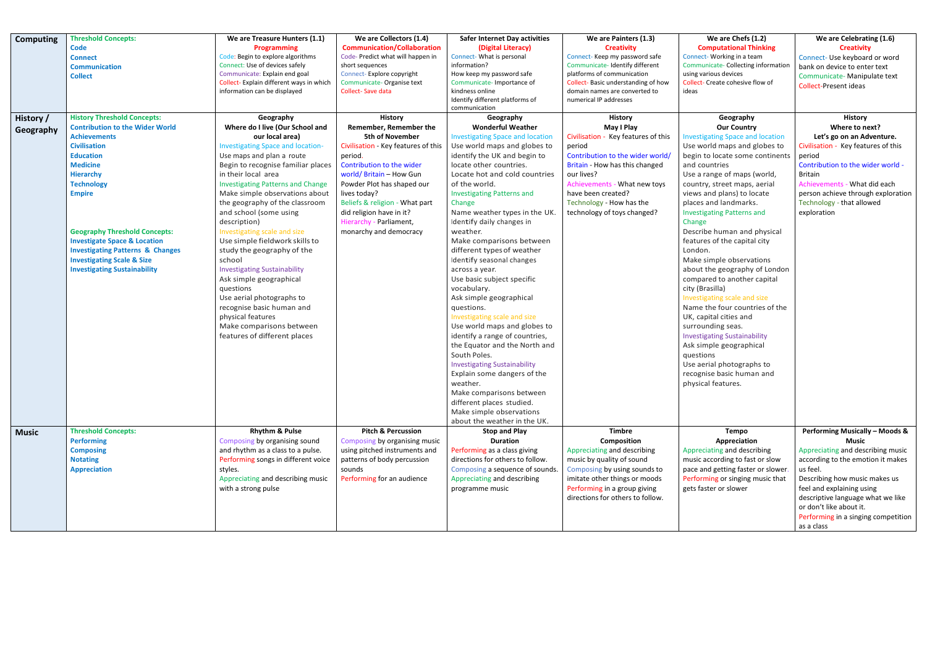| <b>Computing</b>              | <b>Threshold Concepts:</b><br><b>Code</b><br><b>Connect</b><br><b>Communication</b><br><b>Collect</b>                                                                                                                                                                                                                                                                                                                                         | We are Treasure Hunters (1.1)<br><b>Programming</b><br>Code: Begin to explore algorithms<br>Connect: Use of devices safely<br>Communicate: Explain end goal<br>Collect- Explain different ways in which<br>information can be displayed                                                                                                                                                                                                                                                                                                                                                                                                                                                             | We are Collectors (1.4)<br><b>Communication/Collaboration</b><br>Code-Predict what will happen in<br>short sequences<br>Connect-Explore copyright<br>Communicate-Organise text<br>Collect-Save data                                                                                                                                            | <b>Safer Internet Day activities</b><br>(Digital Literacy)<br>Connect- What is personal<br>information?<br>How keep my password safe<br>Communicate-Importance of<br>kindness online<br>Identify different platforms of<br>communication                                                                                                                                                                                                                                                                                                                                                                                                                                                                                                                                                                                                                                        | We are Painters (1.3)<br><b>Creativity</b><br>Connect- Keep my password safe<br>Communicate-Identify different<br>platforms of communication<br>Collect-Basic understanding of how<br>domain names are converted to<br>numerical IP addresses                                      | We are Chefs (1.2)<br><b>Computational Thinking</b><br>Connect- Working in a team<br>Communicate- Collecting information<br>using various devices<br>Collect- Create cohesive flow of<br>ideas                                                                                                                                                                                                                                                                                                                                                                                                                                                                                                                                                                                                               | We are Celebrating (1.6)<br><b>Creativity</b><br>Connect- Use keyboard or word<br>bank on device to enter text<br>Communicate- Manipulate text<br><b>Collect-Present ideas</b>                                                                                                                                                     |
|-------------------------------|-----------------------------------------------------------------------------------------------------------------------------------------------------------------------------------------------------------------------------------------------------------------------------------------------------------------------------------------------------------------------------------------------------------------------------------------------|-----------------------------------------------------------------------------------------------------------------------------------------------------------------------------------------------------------------------------------------------------------------------------------------------------------------------------------------------------------------------------------------------------------------------------------------------------------------------------------------------------------------------------------------------------------------------------------------------------------------------------------------------------------------------------------------------------|------------------------------------------------------------------------------------------------------------------------------------------------------------------------------------------------------------------------------------------------------------------------------------------------------------------------------------------------|---------------------------------------------------------------------------------------------------------------------------------------------------------------------------------------------------------------------------------------------------------------------------------------------------------------------------------------------------------------------------------------------------------------------------------------------------------------------------------------------------------------------------------------------------------------------------------------------------------------------------------------------------------------------------------------------------------------------------------------------------------------------------------------------------------------------------------------------------------------------------------|------------------------------------------------------------------------------------------------------------------------------------------------------------------------------------------------------------------------------------------------------------------------------------|--------------------------------------------------------------------------------------------------------------------------------------------------------------------------------------------------------------------------------------------------------------------------------------------------------------------------------------------------------------------------------------------------------------------------------------------------------------------------------------------------------------------------------------------------------------------------------------------------------------------------------------------------------------------------------------------------------------------------------------------------------------------------------------------------------------|------------------------------------------------------------------------------------------------------------------------------------------------------------------------------------------------------------------------------------------------------------------------------------------------------------------------------------|
| <b>History</b> /<br>Geography | <b>History Threshold Concepts:</b><br><b>Contribution to the Wider World</b><br><b>Achievements</b><br><b>Civilisation</b><br><b>Education</b><br><b>Medicine</b><br><b>Hierarchy</b><br><b>Technology</b><br><b>Empire</b><br><b>Geography Threshold Concepts:</b><br><b>Investigate Space &amp; Location</b><br><b>Investigating Patterns &amp; Changes</b><br><b>Investigating Scale &amp; Size</b><br><b>Investigating Sustainability</b> | Geography<br>Where do I live (Our School and<br>our local area)<br><b>Investigating Space and location-</b><br>Use maps and plan a route<br>Begin to recognise familiar places<br>in their local area<br><b>Investigating Patterns and Change</b><br>Make simple observations about<br>the geography of the classroom<br>and school (some using<br>description)<br>Investigating scale and size<br>Use simple fieldwork skills to<br>study the geography of the<br>school<br><b>Investigating Sustainability</b><br>Ask simple geographical<br>questions<br>Use aerial photographs to<br>recognise basic human and<br>physical features<br>Make comparisons between<br>features of different places | <b>History</b><br>Remember, Remember the<br><b>5th of November</b><br>Civilisation - Key features of this<br>period.<br>Contribution to the wider<br>world/ Britain - How Gun<br>Powder Plot has shaped our<br>lives today?<br>Beliefs & religion - What part<br>did religion have in it?<br>Hierarchy - Parliament,<br>monarchy and democracy | Geography<br><b>Wonderful Weather</b><br><b>Investigating Space and location</b><br>Use world maps and globes to<br>identify the UK and begin to<br>locate other countries.<br>Locate hot and cold countries<br>of the world.<br><b>Investigating Patterns and</b><br>Change<br>Name weather types in the UK.<br>Identify daily changes in<br>weather.<br>Make comparisons between<br>different types of weather<br>Identify seasonal changes<br>across a year.<br>Use basic subject specific<br>vocabulary.<br>Ask simple geographical<br>questions.<br>Investigating scale and size<br>Use world maps and globes to<br>identify a range of countries,<br>the Equator and the North and<br>South Poles.<br><b>Investigating Sustainability</b><br>Explain some dangers of the<br>weather.<br>Make comparisons between<br>different places studied.<br>Make simple observations | <b>History</b><br>May I Play<br>Civilisation - Key features of this<br>period<br>Contribution to the wider world/<br>Britain - How has this changed<br>our lives?<br>Achievements - What new toys<br>have been created?<br>Technology - How has the<br>technology of toys changed? | Geography<br><b>Our Country</b><br><b>Investigating Space and location</b><br>Use world maps and globes to<br>begin to locate some continents<br>and countries<br>Use a range of maps (world,<br>country, street maps, aerial<br>views and plans) to locate<br>places and landmarks.<br><b>Investigating Patterns and</b><br>Change<br>Describe human and physical<br>features of the capital city<br>London.<br>Make simple observations<br>about the geography of London<br>compared to another capital<br>city (Brasilla)<br>Investigating scale and size<br>Name the four countries of the<br>UK, capital cities and<br>surrounding seas.<br><b>Investigating Sustainability</b><br>Ask simple geographical<br>questions<br>Use aerial photographs to<br>recognise basic human and<br>physical features. | <b>History</b><br>Where to next?<br>Let's go on an Adventure.<br>Civilisation - Key features of this<br>period<br>Contribution to the wider world -<br>Britain<br>Achievements - What did each<br>person achieve through exploration<br>Technology - that allowed<br>exploration                                                   |
| <b>Music</b>                  | <b>Threshold Concepts:</b><br><b>Performing</b><br><b>Composing</b><br><b>Notating</b><br><b>Appreciation</b>                                                                                                                                                                                                                                                                                                                                 | <b>Rhythm &amp; Pulse</b><br>Composing by organising sound<br>and rhythm as a class to a pulse.<br>Performing songs in different voice<br>styles.<br>Appreciating and describing music<br>with a strong pulse                                                                                                                                                                                                                                                                                                                                                                                                                                                                                       | <b>Pitch &amp; Percussion</b><br>Composing by organising music<br>using pitched instruments and<br>patterns of body percussion<br>sounds<br>Performing for an audience                                                                                                                                                                         | about the weather in the UK.<br><b>Stop and Play</b><br><b>Duration</b><br>Performing as a class giving<br>directions for others to follow.<br>Composing a sequence of sounds.<br>Appreciating and describing<br>programme music                                                                                                                                                                                                                                                                                                                                                                                                                                                                                                                                                                                                                                                | <b>Timbre</b><br>Composition<br>Appreciating and describing<br>music by quality of sound<br>Composing by using sounds to<br>imitate other things or moods<br>Performing in a group giving<br>directions for others to follow.                                                      | <b>Tempo</b><br>Appreciation<br>Appreciating and describing<br>music according to fast or slow<br>pace and getting faster or slower.<br>Performing or singing music that<br>gets faster or slower                                                                                                                                                                                                                                                                                                                                                                                                                                                                                                                                                                                                            | <b>Performing Musically - Moods &amp;</b><br><b>Music</b><br>Appreciating and describing music<br>according to the emotion it makes<br>us feel.<br>Describing how music makes us<br>feel and explaining using<br>descriptive language what we like<br>or don't like about it.<br>Performing in a singing competition<br>as a class |